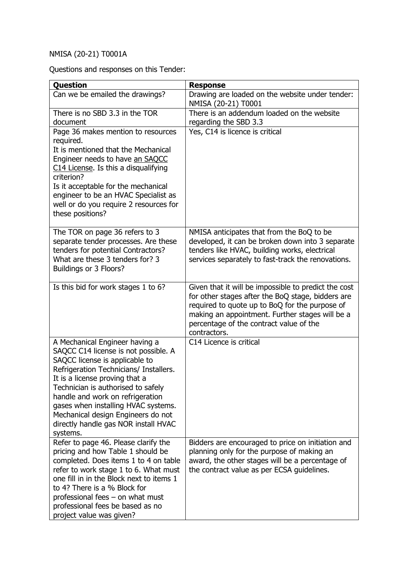## NMISA (20-21) T0001A

Questions and responses on this Tender:

| Question                                         | <b>Response</b>                                                                                           |
|--------------------------------------------------|-----------------------------------------------------------------------------------------------------------|
| Can we be emailed the drawings?                  | Drawing are loaded on the website under tender:<br>NMISA (20-21) T0001                                    |
| There is no SBD 3.3 in the TOR<br>document       | There is an addendum loaded on the website<br>regarding the SBD 3.3                                       |
| Page 36 makes mention to resources               | Yes, C14 is licence is critical                                                                           |
| required.                                        |                                                                                                           |
| It is mentioned that the Mechanical              |                                                                                                           |
| Engineer needs to have an SAQCC                  |                                                                                                           |
| C14 License. Is this a disqualifying             |                                                                                                           |
| criterion?                                       |                                                                                                           |
| Is it acceptable for the mechanical              |                                                                                                           |
| engineer to be an HVAC Specialist as             |                                                                                                           |
| well or do you require 2 resources for           |                                                                                                           |
| these positions?                                 |                                                                                                           |
|                                                  |                                                                                                           |
| The TOR on page 36 refers to 3                   | NMISA anticipates that from the BoQ to be                                                                 |
| separate tender processes. Are these             | developed, it can be broken down into 3 separate                                                          |
| tenders for potential Contractors?               | tenders like HVAC, building works, electrical                                                             |
| What are these 3 tenders for? 3                  | services separately to fast-track the renovations.                                                        |
| Buildings or 3 Floors?                           |                                                                                                           |
|                                                  |                                                                                                           |
| Is this bid for work stages 1 to 6?              | Given that it will be impossible to predict the cost<br>for other stages after the BoQ stage, bidders are |
|                                                  | required to quote up to BoQ for the purpose of                                                            |
|                                                  | making an appointment. Further stages will be a                                                           |
|                                                  | percentage of the contract value of the                                                                   |
|                                                  | contractors.                                                                                              |
| A Mechanical Engineer having a                   | C14 Licence is critical                                                                                   |
| SAQCC C14 license is not possible. A             |                                                                                                           |
| SAQCC license is applicable to                   |                                                                                                           |
| Refrigeration Technicians/ Installers.           |                                                                                                           |
| It is a license proving that a                   |                                                                                                           |
| Technician is authorised to safely               |                                                                                                           |
| handle and work on refrigeration                 |                                                                                                           |
| gases when installing HVAC systems.              |                                                                                                           |
| Mechanical design Engineers do not               |                                                                                                           |
| directly handle gas NOR install HVAC             |                                                                                                           |
| systems.<br>Refer to page 46. Please clarify the | Bidders are encouraged to price on initiation and                                                         |
| pricing and how Table 1 should be                | planning only for the purpose of making an                                                                |
| completed. Does items 1 to 4 on table            | award, the other stages will be a percentage of                                                           |
| refer to work stage 1 to 6. What must            | the contract value as per ECSA guidelines.                                                                |
| one fill in in the Block next to items 1         |                                                                                                           |
| to 4? There is a % Block for                     |                                                                                                           |
| professional fees $-$ on what must               |                                                                                                           |
| professional fees be based as no                 |                                                                                                           |
| project value was given?                         |                                                                                                           |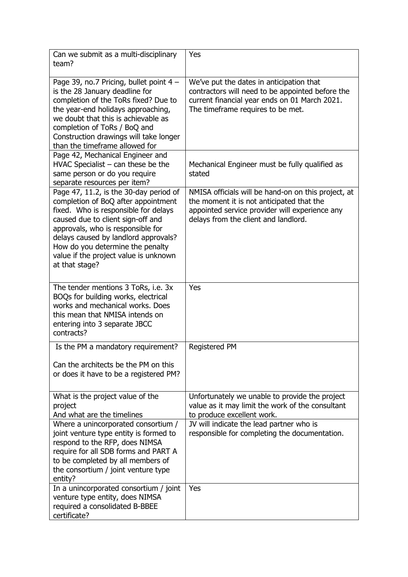| Can we submit as a multi-disciplinary<br>team?                                                                                                                                                                                                                                                                                         | Yes                                                                                                                                                                                        |
|----------------------------------------------------------------------------------------------------------------------------------------------------------------------------------------------------------------------------------------------------------------------------------------------------------------------------------------|--------------------------------------------------------------------------------------------------------------------------------------------------------------------------------------------|
| Page 39, no.7 Pricing, bullet point 4 -<br>is the 28 January deadline for<br>completion of the ToRs fixed? Due to<br>the year-end holidays approaching,<br>we doubt that this is achievable as<br>completion of ToRs / BoQ and<br>Construction drawings will take longer<br>than the timeframe allowed for                             | We've put the dates in anticipation that<br>contractors will need to be appointed before the<br>current financial year ends on 01 March 2021.<br>The timeframe requires to be met.         |
| Page 42, Mechanical Engineer and<br>$HVAC$ Specialist $-$ can these be the<br>same person or do you require<br>separate resources per item?                                                                                                                                                                                            | Mechanical Engineer must be fully qualified as<br>stated                                                                                                                                   |
| Page 47, 11.2, is the 30-day period of<br>completion of BoQ after appointment<br>fixed. Who is responsible for delays<br>caused due to client sign-off and<br>approvals, who is responsible for<br>delays caused by landlord approvals?<br>How do you determine the penalty<br>value if the project value is unknown<br>at that stage? | NMISA officials will be hand-on on this project, at<br>the moment it is not anticipated that the<br>appointed service provider will experience any<br>delays from the client and landlord. |
| The tender mentions 3 ToRs, i.e. 3x<br>BOQs for building works, electrical<br>works and mechanical works. Does<br>this mean that NMISA intends on<br>entering into 3 separate JBCC<br>contracts?                                                                                                                                       | Yes                                                                                                                                                                                        |
| Is the PM a mandatory requirement?<br>Can the architects be the PM on this<br>or does it have to be a registered PM?                                                                                                                                                                                                                   | Registered PM                                                                                                                                                                              |
| What is the project value of the<br>project<br>And what are the timelines                                                                                                                                                                                                                                                              | Unfortunately we unable to provide the project<br>value as it may limit the work of the consultant<br>to produce excellent work.                                                           |
| Where a unincorporated consortium /<br>joint venture type entity is formed to<br>respond to the RFP, does NIMSA<br>require for all SDB forms and PART A<br>to be completed by all members of<br>the consortium / joint venture type<br>entity?                                                                                         | JV will indicate the lead partner who is<br>responsible for completing the documentation.                                                                                                  |
| In a unincorporated consortium / joint<br>venture type entity, does NIMSA<br>required a consolidated B-BBEE<br>certificate?                                                                                                                                                                                                            | Yes                                                                                                                                                                                        |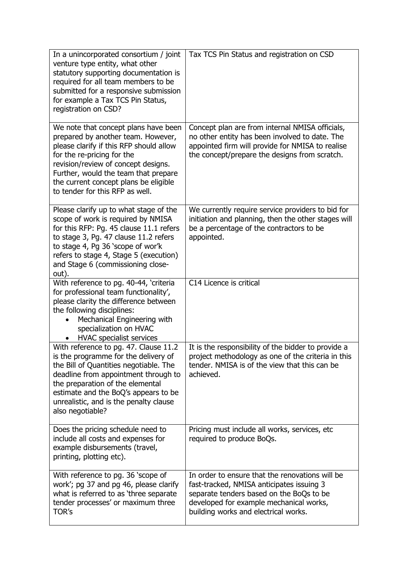| In a unincorporated consortium / joint<br>venture type entity, what other<br>statutory supporting documentation is<br>required for all team members to be<br>submitted for a responsive submission<br>for example a Tax TCS Pin Status,<br>registration on CSD?                                                | Tax TCS Pin Status and registration on CSD                                                                                                                                                                                  |
|----------------------------------------------------------------------------------------------------------------------------------------------------------------------------------------------------------------------------------------------------------------------------------------------------------------|-----------------------------------------------------------------------------------------------------------------------------------------------------------------------------------------------------------------------------|
| We note that concept plans have been<br>prepared by another team. However,<br>please clarify if this RFP should allow<br>for the re-pricing for the<br>revision/review of concept designs.<br>Further, would the team that prepare<br>the current concept plans be eligible<br>to tender for this RFP as well. | Concept plan are from internal NMISA officials,<br>no other entity has been involved to date. The<br>appointed firm will provide for NMISA to realise<br>the concept/prepare the designs from scratch.                      |
| Please clarify up to what stage of the<br>scope of work is required by NMISA<br>for this RFP: Pg. 45 clause 11.1 refers<br>to stage 3, Pg. 47 clause 11.2 refers<br>to stage 4, Pg 36 'scope of wor'k<br>refers to stage 4, Stage 5 (execution)<br>and Stage 6 (commissioning close-<br>out).                  | We currently require service providers to bid for<br>initiation and planning, then the other stages will<br>be a percentage of the contractors to be<br>appointed.                                                          |
| With reference to pg. 40-44, 'criteria<br>for professional team functionality',<br>please clarity the difference between<br>the following disciplines:<br>Mechanical Engineering with<br>specialization on HVAC<br><b>HVAC</b> specialist services                                                             | C14 Licence is critical                                                                                                                                                                                                     |
| With reference to pg. 47. Clause 11.2<br>is the programme for the delivery of<br>the Bill of Quantities negotiable. The<br>deadline from appointment through to<br>the preparation of the elemental<br>estimate and the BoQ's appears to be<br>unrealistic, and is the penalty clause<br>also negotiable?      | It is the responsibility of the bidder to provide a<br>project methodology as one of the criteria in this<br>tender. NMISA is of the view that this can be<br>achieved.                                                     |
| Does the pricing schedule need to<br>include all costs and expenses for<br>example disbursements (travel,<br>printing, plotting etc).                                                                                                                                                                          | Pricing must include all works, services, etc<br>required to produce BoQs.                                                                                                                                                  |
| With reference to pg. 36 'scope of<br>work'; pg 37 and pg 46, please clarify<br>what is referred to as 'three separate<br>tender processes' or maximum three<br>TOR's                                                                                                                                          | In order to ensure that the renovations will be<br>fast-tracked, NMISA anticipates issuing 3<br>separate tenders based on the BoQs to be<br>developed for example mechanical works,<br>building works and electrical works. |